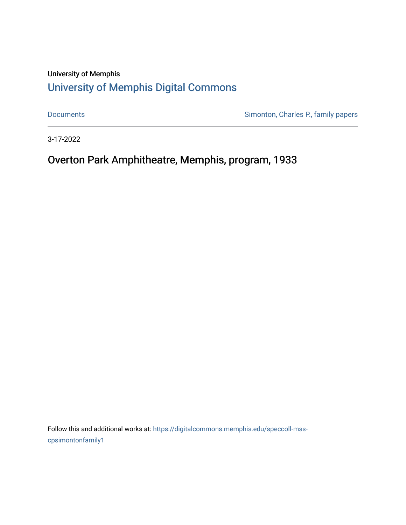# University of Memphis [University of Memphis Digital Commons](https://digitalcommons.memphis.edu/)

[Documents](https://digitalcommons.memphis.edu/speccoll-mss-cpsimontonfamily1) **Simonton, Charles P., family papers** 

3-17-2022

Overton Park Amphitheatre, Memphis, program, 1933

Follow this and additional works at: [https://digitalcommons.memphis.edu/speccoll-mss](https://digitalcommons.memphis.edu/speccoll-mss-cpsimontonfamily1?utm_source=digitalcommons.memphis.edu%2Fspeccoll-mss-cpsimontonfamily1%2F90&utm_medium=PDF&utm_campaign=PDFCoverPages)[cpsimontonfamily1](https://digitalcommons.memphis.edu/speccoll-mss-cpsimontonfamily1?utm_source=digitalcommons.memphis.edu%2Fspeccoll-mss-cpsimontonfamily1%2F90&utm_medium=PDF&utm_campaign=PDFCoverPages)